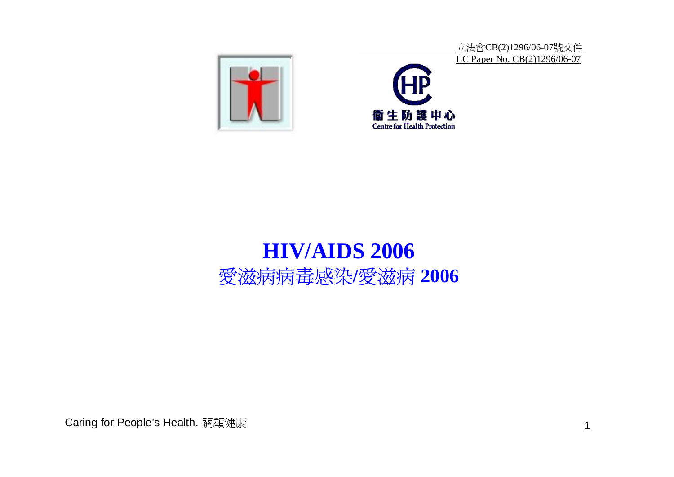



立法會CB(2)1296/06-07號文件 LC Paper No. CB(2)1296/06-07

# **HIV/AIDS 2006** 愛滋病病毒感染**/**愛滋病 **2006**

Caring for People's Health. 關顧健康 <sup>1</sup>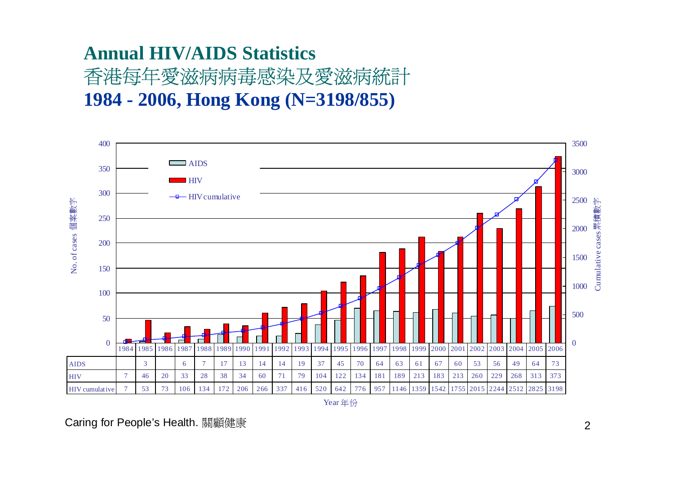## **Annual HIV/AIDS Statistics** 香港每年愛滋病病毒感染及愛滋病統計 **1984 - 2006, Hong Kong (N=3198/855)**



Year 年份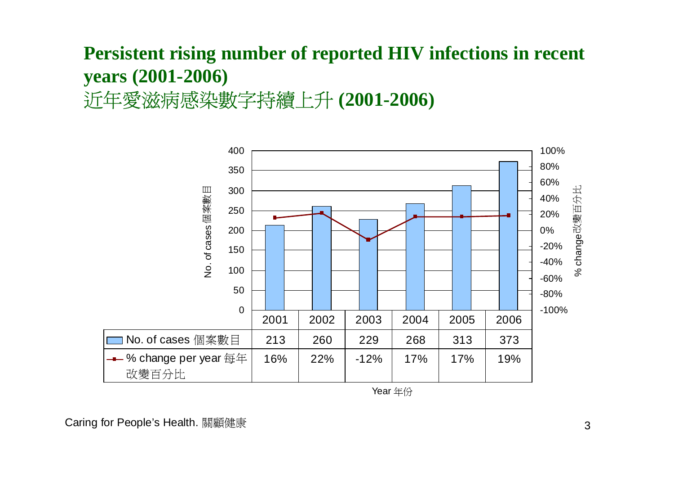## **Persistent rising number of reported HIV infections in recent years (2001-2006)** 近年愛滋病感染數字持續上升 **(2001-2006)**



Year 年份

Caring for People's Health. 關顧健康 <sup>3</sup>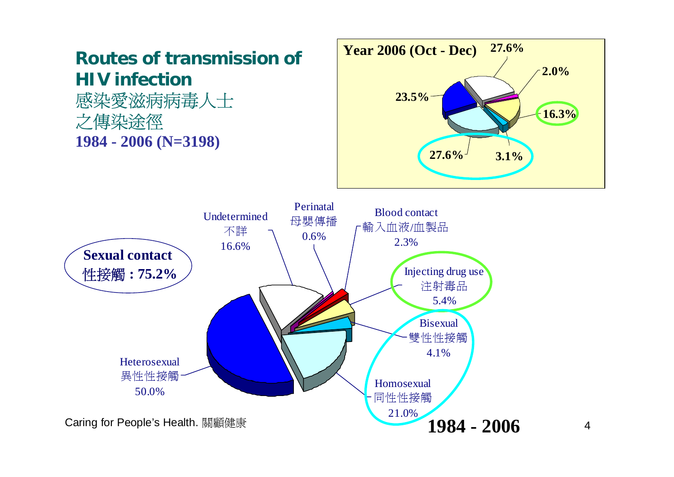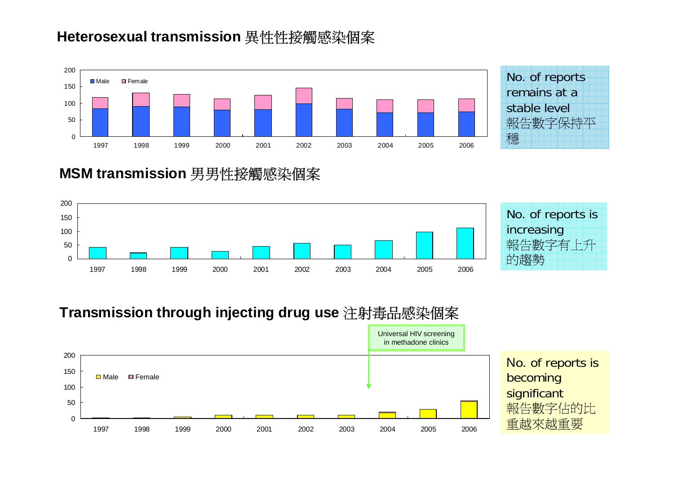#### **Heterosexual transmission** 異性性接觸感染個案



| No. of reports |
|----------------|
| remains at a   |
| stable level   |
| 報告數字保持平        |
| 穩              |

#### **MSM transmission** 男男性接觸感染個案



#### **Transmission through injecting drug use** 注射毒品感染個案

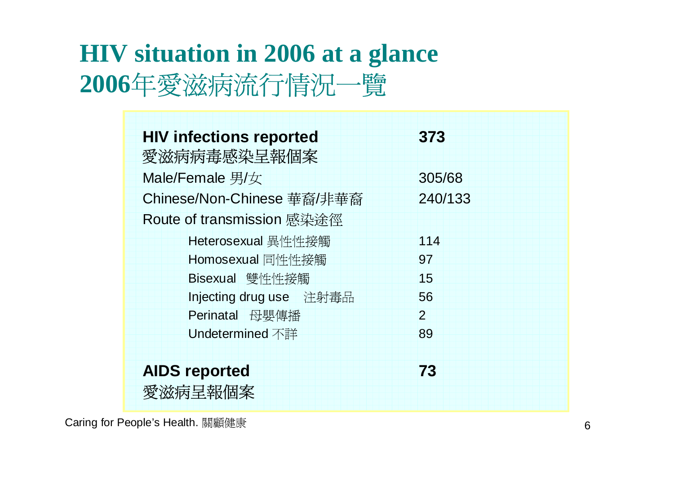# **HIV situation in 2006 at a glance <sup>2006</sup>**年愛滋病流行情況一覽

| <b>HIV infections reported</b><br>愛滋病病毒感染呈報個案 | 373            |
|-----------------------------------------------|----------------|
| Male/Female 男/女                               | 305/68         |
| Chinese/Non-Chinese 華裔/非華裔                    | 240/133        |
| Route of transmission 感染涂徑                    |                |
| Heterosexual 異性性接觸                            | 114            |
| Homosexual 同性性接觸                              | 97             |
| Bisexual 雙性性接觸                                | 15             |
| Injecting drug use 注射毒品                       | 56             |
| Perinatal 母嬰傳播                                | $\overline{2}$ |
| Undetermined 不詳                               | 89             |
|                                               |                |
| <b>AIDS reported</b>                          | 73             |
| 愛滋病呈報個案                                       |                |

Caring for People's Health. 關顧健康 <sup>6</sup>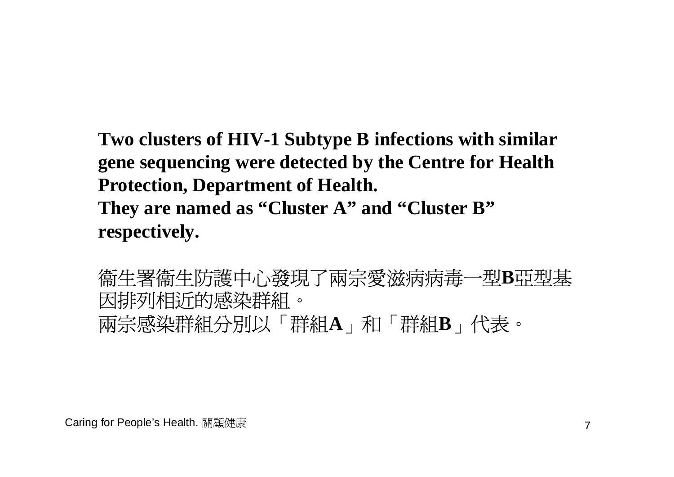**Two clusters of HIV-1 Subtype B infections with similar gene sequencing were detected by the Centre for Health Protection, Department of Health. They are named as "Cluster A" and "Cluster B" respectively.**

衞生署衞生防護中心發現了兩宗愛滋病病毒一型**B**亞型基 因排列相近的感染群組。 兩宗感染群組分別以「群組**A**」和「群組**B**」代表。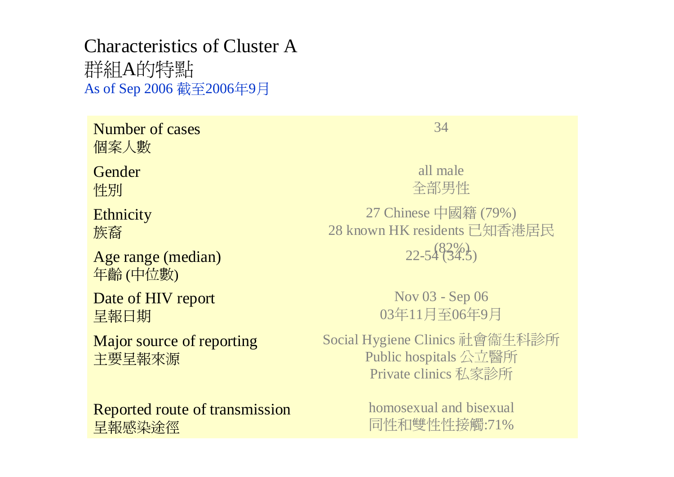## Characteristics of Cluster A群組 <sup>A</sup>的特點 As of Sep 2006 截至2006 年 9 月

Number of cases個案人數

**Gender** 性別

**Ethnicity** 族裔

Age range (median) 年齡 (中位數)

Date of HIV report 呈報日期

Major source of reporting 主要呈報來源

Reported route of transmission homosexual and bisexual<br>星報感染途徑 同性和雙性性接觸:71%

 $\mathbf{s}$  34

all male全部男性

27 Chinese 中國籍 (79%) 28 known HK residents 已知香港居民  $22 - 548226$ 

> Nov 03 - Sep 06 03 年11月至06 年 9 月

Social Hygiene Clinics 社會衞生科診所 Public hospitals 公立醫所 Private clinics 私家診所

homosexual and bisexual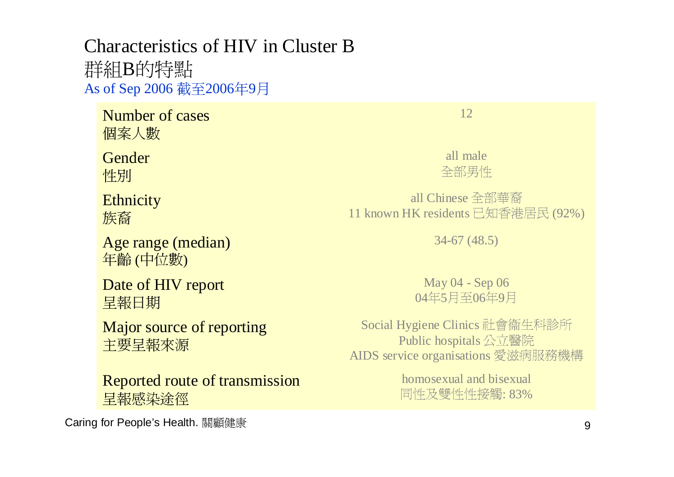## Characteristics of HIV in Cluster B群組B的特點 As of Sep 2006 截至2006年9月

Number of cases

個案人數

Gender性別

Age range (median) 34-67 (48.5) 年齡 (中位數)

Date of HIV report May 04 - Sep 06<br>星報日期 04年5月至06年9月

Major source of reporting 主要呈報來源

Reported route of transmission homosexual and bisexual<br>星報感染途徑 回性及雙性性接觸: 83%

Caring for People's Health. 關顧健康 <sup>9</sup>

 $\mathbf{s}$  and  $\mathbf{s}$  and  $\mathbf{s}$  and  $\mathbf{s}$  and  $\mathbf{s}$  and  $\mathbf{s}$  and  $\mathbf{s}$  and  $\mathbf{s}$  and  $\mathbf{s}$  and  $\mathbf{s}$  and  $\mathbf{s}$  and  $\mathbf{s}$  and  $\mathbf{s}$  and  $\mathbf{s}$  and  $\mathbf{s}$  and  $\mathbf{s}$  and  $\mathbf{s}$  and  $\mathbf{s}$  and  $\mathbf{s$ 

all male全部男性

all Chinese 全部華裔 **Ethnicity**<br>
11 known HK residents 已知香港居民 (92%)<br>
<del>族裔</del>

May 04 - Sep 06

Social Hygiene Clinics 社會衞生科診所 Public hospitals 公立醫院 AIDS service organisations 愛滋病服務機構

homosexual and bisexual